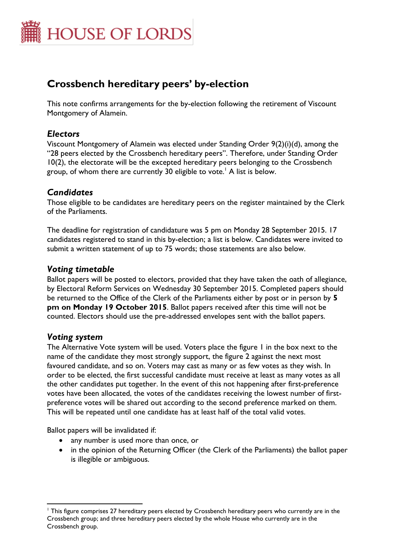

# **Crossbench hereditary peers' by-election**

This note confirms arrangements for the by-election following the retirement of Viscount Montgomery of Alamein.

## *Electors*

Viscount Montgomery of Alamein was elected under Standing Order 9(2)(i)(d), among the "28 peers elected by the Crossbench hereditary peers". Therefore, under Standing Order 10(2), the electorate will be the excepted hereditary peers belonging to the Crossbench group, of whom there are currently 30 eligible to vote. <sup>1</sup> A list is below.

## *Candidates*

Those eligible to be candidates are hereditary peers on the register maintained by the Clerk of the Parliaments.

The deadline for registration of candidature was 5 pm on Monday 28 September 2015. 17 candidates registered to stand in this by-election; a list is below. Candidates were invited to submit a written statement of up to 75 words; those statements are also below.

## *Voting timetable*

Ballot papers will be posted to electors, provided that they have taken the oath of allegiance, by Electoral Reform Services on Wednesday 30 September 2015. Completed papers should be returned to the Office of the Clerk of the Parliaments either by post or in person by **5 pm on Monday 19 October 2015**. Ballot papers received after this time will not be counted. Electors should use the pre-addressed envelopes sent with the ballot papers.

## *Voting system*

 $\overline{a}$ 

The Alternative Vote system will be used. Voters place the figure 1 in the box next to the name of the candidate they most strongly support, the figure 2 against the next most favoured candidate, and so on. Voters may cast as many or as few votes as they wish. In order to be elected, the first successful candidate must receive at least as many votes as all the other candidates put together. In the event of this not happening after first-preference votes have been allocated, the votes of the candidates receiving the lowest number of firstpreference votes will be shared out according to the second preference marked on them. This will be repeated until one candidate has at least half of the total valid votes.

Ballot papers will be invalidated if:

- any number is used more than once, or
- in the opinion of the Returning Officer (the Clerk of the Parliaments) the ballot paper is illegible or ambiguous.

<sup>&</sup>lt;sup>1</sup> This figure comprises 27 hereditary peers elected by Crossbench hereditary peers who currently are in the Crossbench group; and three hereditary peers elected by the whole House who currently are in the Crossbench group.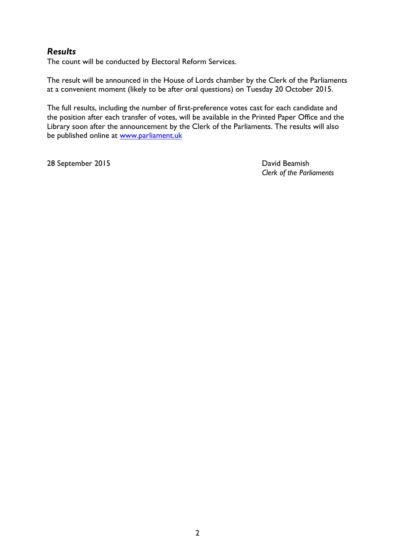# *Results*

The count will be conducted by Electoral Reform Services.

The result will be announced in the House of Lords chamber by the Clerk of the Parliaments at a convenient moment (likely to be after oral questions) on Tuesday 20 October 2015.

The full results, including the number of first-preference votes cast for each candidate and the position after each transfer of votes, will be available in the Printed Paper Office and the Library soon after the announcement by the Clerk of the Parliaments. The results will also be published online at [www.parliament.uk](http://www.parliament.uk/)

28 September 2015 **David Beamish** 

*Clerk of the Parliaments*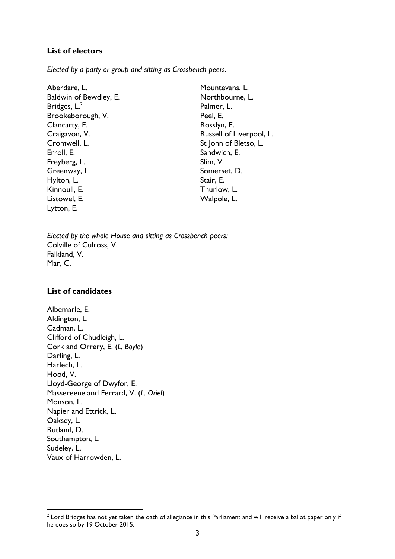#### **List of electors**

*Elected by a party or group and sitting as Crossbench peers.* 

| Aberdare, L.           | Mountevans, L.           |
|------------------------|--------------------------|
| Baldwin of Bewdley, E. | Northbourne, L.          |
| Bridges, $L^2$         | Palmer, L.               |
| Brookeborough, V.      | Peel, E.                 |
| Clancarty, E.          | Rosslyn, E.              |
| Craigavon, V.          | Russell of Liverpool, L. |
| Cromwell, L.           | St John of Bletso, L.    |
| Erroll, E.             | Sandwich, E.             |
| Freyberg, L.           | Slim, V.                 |
| Greenway, L.           | Somerset, D.             |
| Hylton, L.             | Stair, E.                |
| Kinnoull, E.           | Thurlow, L.              |
| Listowel, E.           | Walpole, L.              |
| Lytton, E.             |                          |

*Elected by the whole House and sitting as Crossbench peers:* Colville of Culross, V. Falkland, V. Mar, C.

#### **List of candidates**

Albemarle, E. Aldington, L. Cadman, L. Clifford of Chudleigh, L. Cork and Orrery, E. (*L. Boyle*) Darling, L. Harlech, L. Hood, V. Lloyd-George of Dwyfor, E. Massereene and Ferrard, V. (*L. Oriel*) Monson, L. Napier and Ettrick, L. Oaksey, L. Rutland, D. Southampton, L. Sudeley, L. Vaux of Harrowden, L.

 2 Lord Bridges has not yet taken the oath of allegiance in this Parliament and will receive a ballot paper only if he does so by 19 October 2015.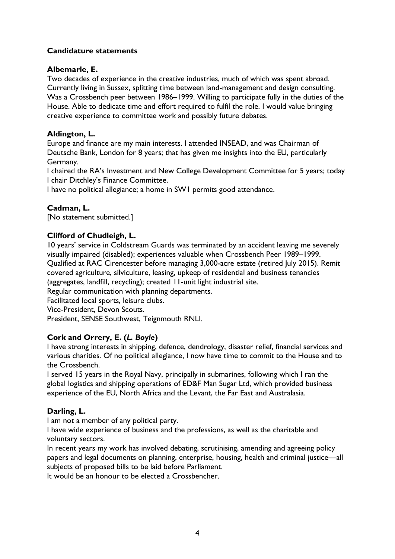## **Candidature statements**

#### **Albemarle, E.**

Two decades of experience in the creative industries, much of which was spent abroad. Currently living in Sussex, splitting time between land-management and design consulting. Was a Crossbench peer between 1986–1999. Willing to participate fully in the duties of the House. Able to dedicate time and effort required to fulfil the role. I would value bringing creative experience to committee work and possibly future debates.

#### **Aldington, L.**

Europe and finance are my main interests. I attended INSEAD, and was Chairman of Deutsche Bank, London for 8 years; that has given me insights into the EU, particularly Germany.

I chaired the RA's Investment and New College Development Committee for 5 years; today I chair Ditchley's Finance Committee.

I have no political allegiance; a home in SW1 permits good attendance.

## **Cadman, L.**

[No statement submitted.]

## **Clifford of Chudleigh, L.**

10 years' service in Coldstream Guards was terminated by an accident leaving me severely visually impaired (disabled); experiences valuable when Crossbench Peer 1989–1999. Qualified at RAC Cirencester before managing 3,000-acre estate (retired July 2015). Remit covered agriculture, silviculture, leasing, upkeep of residential and business tenancies (aggregates, landfill, recycling); created 11-unit light industrial site.

Regular communication with planning departments.

Facilitated local sports, leisure clubs.

Vice-President, Devon Scouts.

President, SENSE Southwest, Teignmouth RNLI.

#### **Cork and Orrery, E. (***L. Boyle***)**

I have strong interests in shipping, defence, dendrology, disaster relief, financial services and various charities. Of no political allegiance, I now have time to commit to the House and to the Crossbench.

I served 15 years in the Royal Navy, principally in submarines, following which I ran the global logistics and shipping operations of ED&F Man Sugar Ltd, which provided business experience of the EU, North Africa and the Levant, the Far East and Australasia.

## **Darling, L.**

I am not a member of any political party.

I have wide experience of business and the professions, as well as the charitable and voluntary sectors.

In recent years my work has involved debating, scrutinising, amending and agreeing policy papers and legal documents on planning, enterprise, housing, health and criminal justice—all subjects of proposed bills to be laid before Parliament.

It would be an honour to be elected a Crossbencher.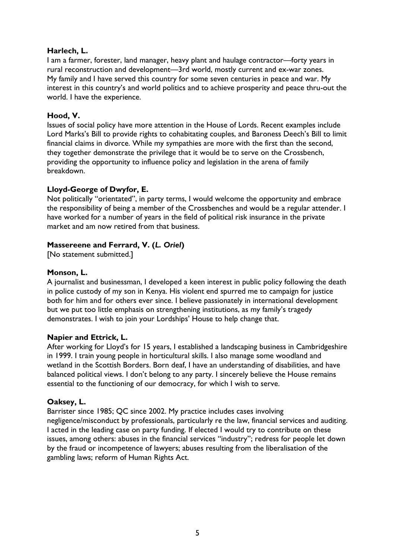#### **Harlech, L.**

I am a farmer, forester, land manager, heavy plant and haulage contractor—forty years in rural reconstruction and development—3rd world, mostly current and ex-war zones. My family and I have served this country for some seven centuries in peace and war. My interest in this country's and world politics and to achieve prosperity and peace thru-out the world. I have the experience.

## **Hood, V.**

Issues of social policy have more attention in the House of Lords. Recent examples include Lord Marks's Bill to provide rights to cohabitating couples, and Baroness Deech's Bill to limit financial claims in divorce. While my sympathies are more with the first than the second, they together demonstrate the privilege that it would be to serve on the Crossbench, providing the opportunity to influence policy and legislation in the arena of family breakdown.

## **Lloyd-George of Dwyfor, E.**

Not politically "orientated", in party terms, I would welcome the opportunity and embrace the responsibility of being a member of the Crossbenches and would be a regular attender. I have worked for a number of years in the field of political risk insurance in the private market and am now retired from that business.

## **Massereene and Ferrard, V. (***L. Oriel***)**

[No statement submitted.]

#### **Monson, L.**

A journalist and businessman, I developed a keen interest in public policy following the death in police custody of my son in Kenya. His violent end spurred me to campaign for justice both for him and for others ever since. I believe passionately in international development but we put too little emphasis on strengthening institutions, as my family's tragedy demonstrates. I wish to join your Lordships' House to help change that.

#### **Napier and Ettrick, L.**

After working for Lloyd's for 15 years, I established a landscaping business in Cambridgeshire in 1999. I train young people in horticultural skills. I also manage some woodland and wetland in the Scottish Borders. Born deaf, I have an understanding of disabilities, and have balanced political views. I don't belong to any party. I sincerely believe the House remains essential to the functioning of our democracy, for which I wish to serve.

#### **Oaksey, L.**

Barrister since 1985; QC since 2002. My practice includes cases involving negligence/misconduct by professionals, particularly re the law, financial services and auditing. I acted in the leading case on party funding. If elected I would try to contribute on these issues, among others: abuses in the financial services "industry"; redress for people let down by the fraud or incompetence of lawyers; abuses resulting from the liberalisation of the gambling laws; reform of Human Rights Act.